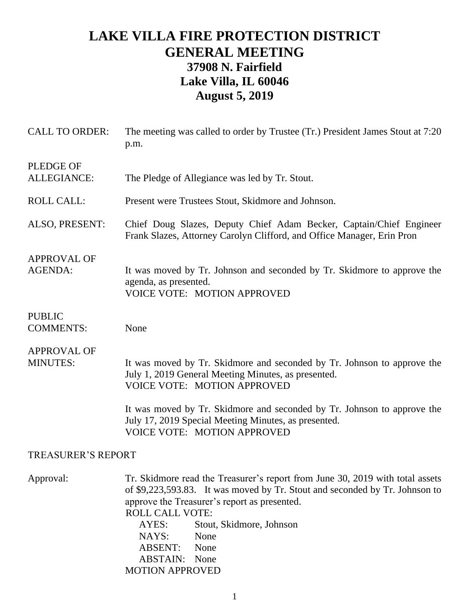## **LAKE VILLA FIRE PROTECTION DISTRICT GENERAL MEETING 37908 N. Fairfield Lake Villa, IL 60046 August 5, 2019**

| <b>CALL TO ORDER:</b>                 | The meeting was called to order by Trustee (Tr.) President James Stout at 7:20<br>p.m.                                                                                                                                                                                                                                                                                      |
|---------------------------------------|-----------------------------------------------------------------------------------------------------------------------------------------------------------------------------------------------------------------------------------------------------------------------------------------------------------------------------------------------------------------------------|
| <b>PLEDGE OF</b><br>ALLEGIANCE:       | The Pledge of Allegiance was led by Tr. Stout.                                                                                                                                                                                                                                                                                                                              |
| <b>ROLL CALL:</b>                     | Present were Trustees Stout, Skidmore and Johnson.                                                                                                                                                                                                                                                                                                                          |
| ALSO, PRESENT:                        | Chief Doug Slazes, Deputy Chief Adam Becker, Captain/Chief Engineer<br>Frank Slazes, Attorney Carolyn Clifford, and Office Manager, Erin Pron                                                                                                                                                                                                                               |
| <b>APPROVAL OF</b><br><b>AGENDA:</b>  | It was moved by Tr. Johnson and seconded by Tr. Skidmore to approve the<br>agenda, as presented.<br><b>VOICE VOTE: MOTION APPROVED</b>                                                                                                                                                                                                                                      |
| <b>PUBLIC</b><br><b>COMMENTS:</b>     | None                                                                                                                                                                                                                                                                                                                                                                        |
| <b>APPROVAL OF</b><br><b>MINUTES:</b> | It was moved by Tr. Skidmore and seconded by Tr. Johnson to approve the<br>July 1, 2019 General Meeting Minutes, as presented.<br><b>VOICE VOTE: MOTION APPROVED</b>                                                                                                                                                                                                        |
|                                       | It was moved by Tr. Skidmore and seconded by Tr. Johnson to approve the<br>July 17, 2019 Special Meeting Minutes, as presented.<br><b>VOICE VOTE: MOTION APPROVED</b>                                                                                                                                                                                                       |
| <b>TREASURER'S REPORT</b>             |                                                                                                                                                                                                                                                                                                                                                                             |
| Approval:                             | Tr. Skidmore read the Treasurer's report from June 30, 2019 with total assets<br>of \$9,223,593.83. It was moved by Tr. Stout and seconded by Tr. Johnson to<br>approve the Treasurer's report as presented.<br><b>ROLL CALL VOTE:</b><br>AYES:<br>Stout, Skidmore, Johnson<br>NAYS:<br>None<br><b>ABSENT:</b><br>None<br><b>ABSTAIN:</b><br>None<br><b>MOTION APPROVED</b> |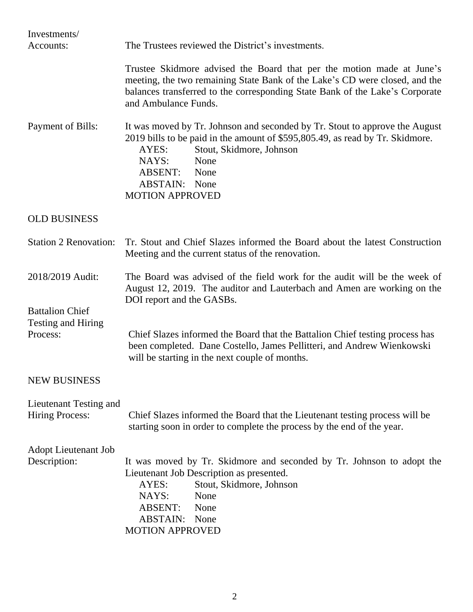| Investments/                                                    |                                                                                                                                                                                                                                                                                         |
|-----------------------------------------------------------------|-----------------------------------------------------------------------------------------------------------------------------------------------------------------------------------------------------------------------------------------------------------------------------------------|
| Accounts:                                                       | The Trustees reviewed the District's investments.                                                                                                                                                                                                                                       |
|                                                                 | Trustee Skidmore advised the Board that per the motion made at June's<br>meeting, the two remaining State Bank of the Lake's CD were closed, and the<br>balances transferred to the corresponding State Bank of the Lake's Corporate<br>and Ambulance Funds.                            |
| Payment of Bills:                                               | It was moved by Tr. Johnson and seconded by Tr. Stout to approve the August<br>2019 bills to be paid in the amount of \$595,805.49, as read by Tr. Skidmore.<br>AYES:<br>Stout, Skidmore, Johnson<br>NAYS:<br>None<br>ABSENT:<br>None<br><b>ABSTAIN:</b> None<br><b>MOTION APPROVED</b> |
| <b>OLD BUSINESS</b>                                             |                                                                                                                                                                                                                                                                                         |
| <b>Station 2 Renovation:</b>                                    | Tr. Stout and Chief Slazes informed the Board about the latest Construction<br>Meeting and the current status of the renovation.                                                                                                                                                        |
| 2018/2019 Audit:                                                | The Board was advised of the field work for the audit will be the week of<br>August 12, 2019. The auditor and Lauterbach and Amen are working on the<br>DOI report and the GASBs.                                                                                                       |
| <b>Battalion Chief</b><br><b>Testing and Hiring</b><br>Process: | Chief Slazes informed the Board that the Battalion Chief testing process has<br>been completed. Dane Costello, James Pellitteri, and Andrew Wienkowski<br>will be starting in the next couple of months.                                                                                |
| <b>NEW BUSINESS</b>                                             |                                                                                                                                                                                                                                                                                         |
| Lieutenant Testing and<br><b>Hiring Process:</b>                | Chief Slazes informed the Board that the Lieutenant testing process will be<br>starting soon in order to complete the process by the end of the year.                                                                                                                                   |
| <b>Adopt Lieutenant Job</b><br>Description:                     | It was moved by Tr. Skidmore and seconded by Tr. Johnson to adopt the<br>Lieutenant Job Description as presented.<br>Stout, Skidmore, Johnson<br>AYES:<br>NAYS:<br>None<br><b>ABSENT:</b><br>None<br><b>ABSTAIN:</b><br>None<br><b>MOTION APPROVED</b>                                  |